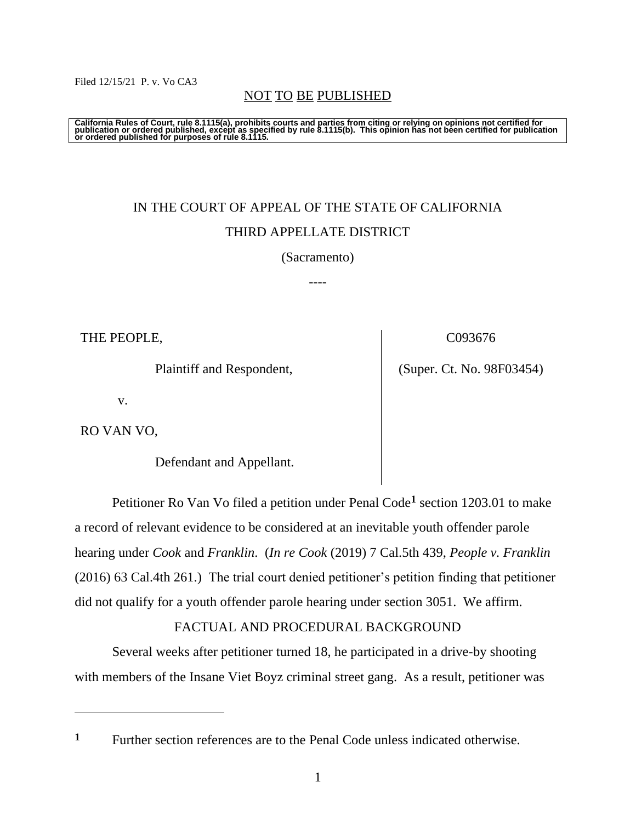#### Filed 12/15/21 P. v. Vo CA3

### NOT TO BE PUBLISHED

California Rules of Court, rule 8.1115(a), prohibits courts and parties from citing or relying on opinions not certified for<br>publication or ordered published, except as specified by rule 8.1115(b). This opinion has not be

# IN THE COURT OF APPEAL OF THE STATE OF CALIFORNIA THIRD APPELLATE DISTRICT

#### (Sacramento)

----

THE PEOPLE,

Plaintiff and Respondent,

C093676

(Super. Ct. No. 98F03454)

v.

RO VAN VO,

Defendant and Appellant.

Petitioner Ro Van Vo filed a petition under Penal Code**<sup>1</sup>** section 1203.01 to make a record of relevant evidence to be considered at an inevitable youth offender parole hearing under *Cook* and *Franklin*. (*In re Cook* (2019) 7 Cal.5th 439, *People v. Franklin*  (2016) 63 Cal.4th 261.) The trial court denied petitioner's petition finding that petitioner did not qualify for a youth offender parole hearing under section 3051. We affirm.

### FACTUAL AND PROCEDURAL BACKGROUND

Several weeks after petitioner turned 18, he participated in a drive-by shooting with members of the Insane Viet Boyz criminal street gang. As a result, petitioner was

**<sup>1</sup>** Further section references are to the Penal Code unless indicated otherwise.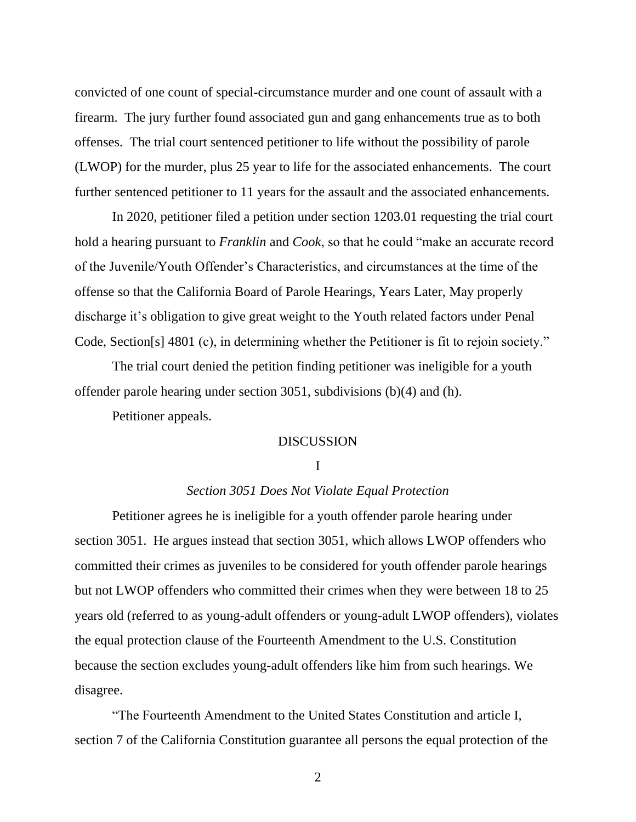convicted of one count of special-circumstance murder and one count of assault with a firearm. The jury further found associated gun and gang enhancements true as to both offenses. The trial court sentenced petitioner to life without the possibility of parole (LWOP) for the murder, plus 25 year to life for the associated enhancements. The court further sentenced petitioner to 11 years for the assault and the associated enhancements.

In 2020, petitioner filed a petition under section 1203.01 requesting the trial court hold a hearing pursuant to *Franklin* and *Cook*, so that he could "make an accurate record of the Juvenile/Youth Offender's Characteristics, and circumstances at the time of the offense so that the California Board of Parole Hearings, Years Later, May properly discharge it's obligation to give great weight to the Youth related factors under Penal Code, Section[s] 4801 (c), in determining whether the Petitioner is fit to rejoin society."

The trial court denied the petition finding petitioner was ineligible for a youth offender parole hearing under section 3051, subdivisions (b)(4) and (h).

Petitioner appeals.

#### **DISCUSSION**

#### I

#### *Section 3051 Does Not Violate Equal Protection*

Petitioner agrees he is ineligible for a youth offender parole hearing under section 3051. He argues instead that section 3051, which allows LWOP offenders who committed their crimes as juveniles to be considered for youth offender parole hearings but not LWOP offenders who committed their crimes when they were between 18 to 25 years old (referred to as young-adult offenders or young-adult LWOP offenders), violates the equal protection clause of the Fourteenth Amendment to the U.S. Constitution because the section excludes young-adult offenders like him from such hearings. We disagree.

"The Fourteenth Amendment to the United States Constitution and article I, section 7 of the California Constitution guarantee all persons the equal protection of the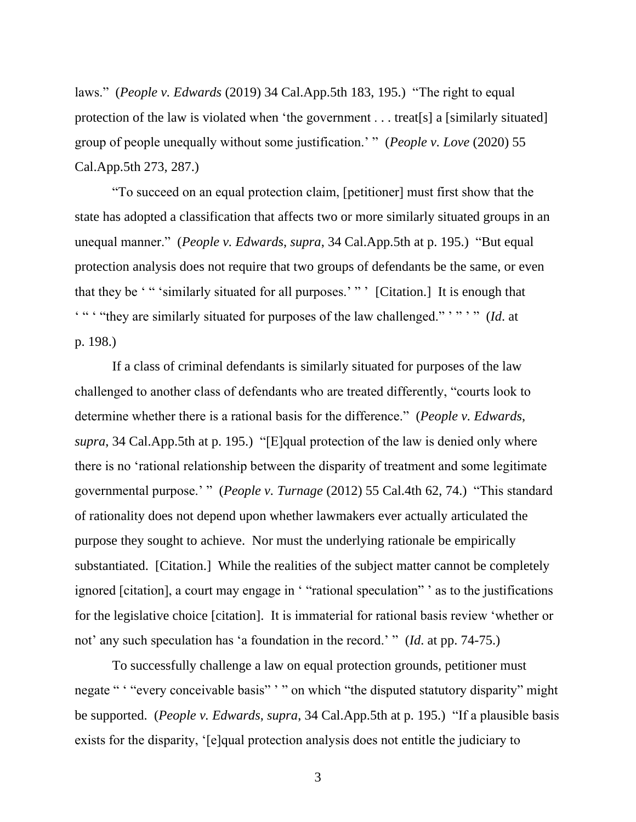laws." (*People v. Edwards* (2019) 34 Cal.App.5th 183, 195.) "The right to equal protection of the law is violated when 'the government . . . treat[s] a [similarly situated] group of people unequally without some justification.' " (*People v. Love* (2020) 55 Cal.App.5th 273, 287.)

"To succeed on an equal protection claim, [petitioner] must first show that the state has adopted a classification that affects two or more similarly situated groups in an unequal manner." (*People v. Edwards*, *supra*, 34 Cal.App.5th at p. 195.) "But equal protection analysis does not require that two groups of defendants be the same, or even that they be ' " 'similarly situated for all purposes.' " ' [Citation.] It is enough that ' " ' "they are similarly situated for purposes of the law challenged." ' " ' " (*Id*. at p. 198.)

If a class of criminal defendants is similarly situated for purposes of the law challenged to another class of defendants who are treated differently, "courts look to determine whether there is a rational basis for the difference." (*People v. Edwards*, *supra*, 34 Cal.App.5th at p. 195.) "[E]qual protection of the law is denied only where there is no 'rational relationship between the disparity of treatment and some legitimate governmental purpose.' " (*People v. Turnage* (2012) 55 Cal.4th 62, 74.) "This standard of rationality does not depend upon whether lawmakers ever actually articulated the purpose they sought to achieve. Nor must the underlying rationale be empirically substantiated. [Citation.] While the realities of the subject matter cannot be completely ignored [citation], a court may engage in ' "rational speculation" ' as to the justifications for the legislative choice [citation]. It is immaterial for rational basis review 'whether or not' any such speculation has 'a foundation in the record.' " (*Id*. at pp. 74-75.)

To successfully challenge a law on equal protection grounds, petitioner must negate " "every conceivable basis" ' " on which "the disputed statutory disparity" might be supported. (*People v. Edwards*, *supra*, 34 Cal.App.5th at p. 195.) "If a plausible basis exists for the disparity, '[e]qual protection analysis does not entitle the judiciary to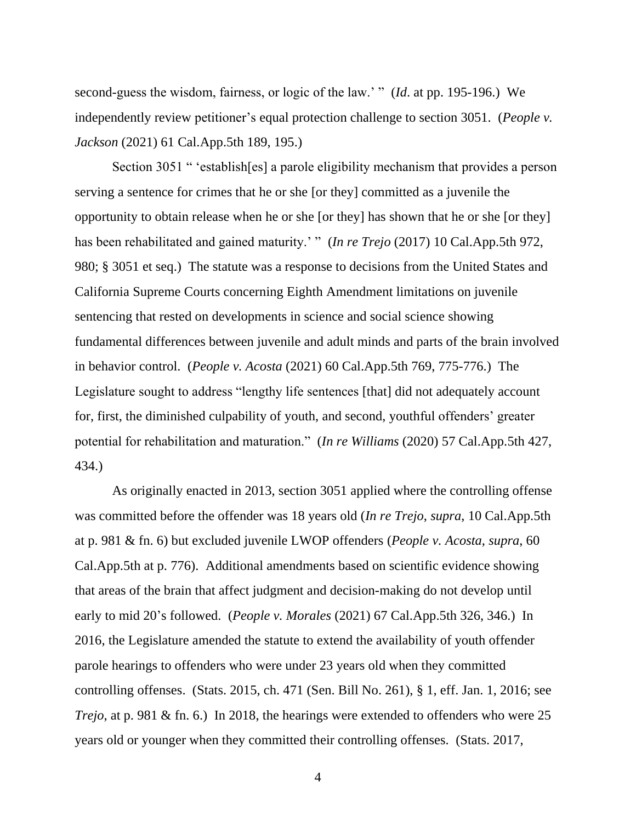second-guess the wisdom, fairness, or logic of the law.' " (*Id*. at pp. 195-196.) We independently review petitioner's equal protection challenge to section 3051. (*People v. Jackson* (2021) 61 Cal.App.5th 189, 195.)

Section 3051 " 'establish[es] a parole eligibility mechanism that provides a person serving a sentence for crimes that he or she [or they] committed as a juvenile the opportunity to obtain release when he or she [or they] has shown that he or she [or they] has been rehabilitated and gained maturity.' " (*In re Trejo* (2017) 10 Cal.App.5th 972, 980; § 3051 et seq.) The statute was a response to decisions from the United States and California Supreme Courts concerning Eighth Amendment limitations on juvenile sentencing that rested on developments in science and social science showing fundamental differences between juvenile and adult minds and parts of the brain involved in behavior control. (*People v. Acosta* (2021) 60 Cal.App.5th 769, 775-776.) The Legislature sought to address "lengthy life sentences [that] did not adequately account for, first, the diminished culpability of youth, and second, youthful offenders' greater potential for rehabilitation and maturation." (*In re Williams* (2020) 57 Cal.App.5th 427, 434.)

As originally enacted in 2013, section 3051 applied where the controlling offense was committed before the offender was 18 years old (*In re Trejo*, *supra*, 10 Cal.App.5th at p. 981 & fn. 6) but excluded juvenile LWOP offenders (*People v. Acosta*, *supra*, 60 Cal.App.5th at p. 776). Additional amendments based on scientific evidence showing that areas of the brain that affect judgment and decision-making do not develop until early to mid 20's followed. (*People v. Morales* (2021) 67 Cal.App.5th 326, 346.) In 2016, the Legislature amended the statute to extend the availability of youth offender parole hearings to offenders who were under 23 years old when they committed controlling offenses. (Stats. 2015, ch. 471 (Sen. Bill No. 261), § 1, eff. Jan. 1, 2016; see *Trejo*, at p. 981 & fn. 6.) In 2018, the hearings were extended to offenders who were 25 years old or younger when they committed their controlling offenses. (Stats. 2017,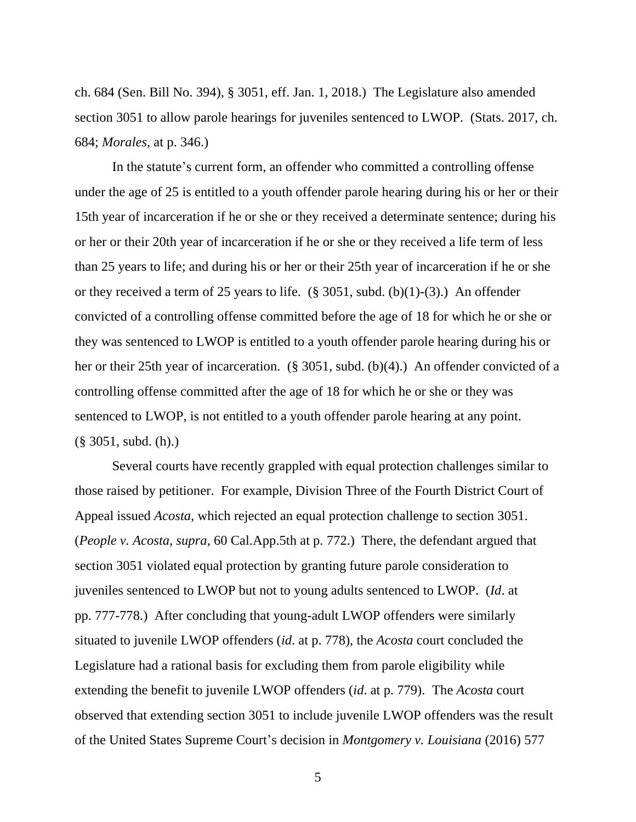ch. 684 (Sen. Bill No. 394), § 3051, eff. Jan. 1, 2018.) The Legislature also amended section 3051 to allow parole hearings for juveniles sentenced to LWOP. (Stats. 2017, ch. 684; *Morales*, at p. 346.)

In the statute's current form, an offender who committed a controlling offense under the age of 25 is entitled to a youth offender parole hearing during his or her or their 15th year of incarceration if he or she or they received a determinate sentence; during his or her or their 20th year of incarceration if he or she or they received a life term of less than 25 years to life; and during his or her or their 25th year of incarceration if he or she or they received a term of 25 years to life.  $(\S$  3051, subd. (b)(1)-(3).) An offender convicted of a controlling offense committed before the age of 18 for which he or she or they was sentenced to LWOP is entitled to a youth offender parole hearing during his or her or their 25th year of incarceration. (§ 3051, subd. (b)(4).) An offender convicted of a controlling offense committed after the age of 18 for which he or she or they was sentenced to LWOP, is not entitled to a youth offender parole hearing at any point. (§ 3051, subd. (h).)

Several courts have recently grappled with equal protection challenges similar to those raised by petitioner. For example, Division Three of the Fourth District Court of Appeal issued *Acosta*, which rejected an equal protection challenge to section 3051. (*People v. Acosta*, *supra*, 60 Cal.App.5th at p. 772.) There, the defendant argued that section 3051 violated equal protection by granting future parole consideration to juveniles sentenced to LWOP but not to young adults sentenced to LWOP. (*Id*. at pp. 777-778.) After concluding that young-adult LWOP offenders were similarly situated to juvenile LWOP offenders (*id*. at p. 778), the *Acosta* court concluded the Legislature had a rational basis for excluding them from parole eligibility while extending the benefit to juvenile LWOP offenders (*id*. at p. 779). The *Acosta* court observed that extending section 3051 to include juvenile LWOP offenders was the result of the United States Supreme Court's decision in *Montgomery v. Louisiana* (2016) 577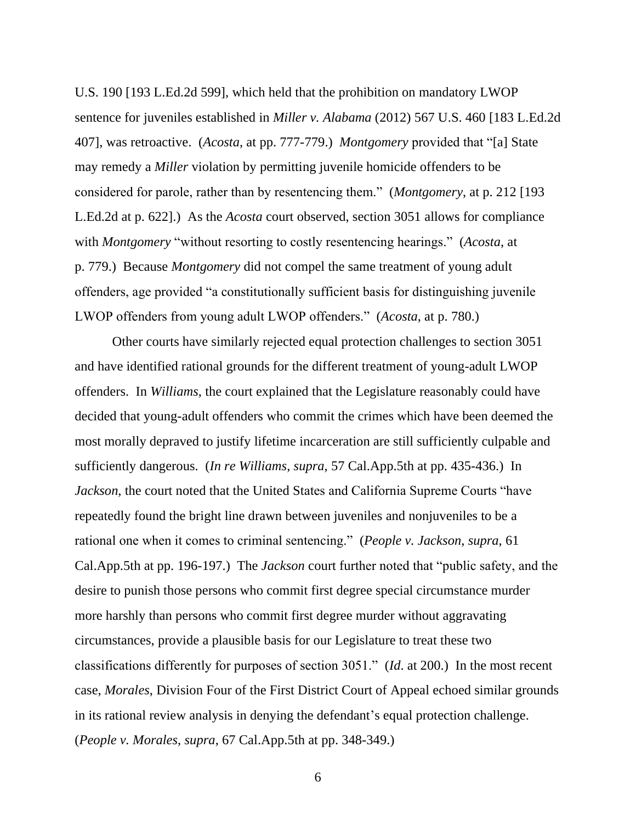U.S. 190 [193 L.Ed.2d 599], which held that the prohibition on mandatory LWOP sentence for juveniles established in *Miller v. Alabama* (2012) 567 U.S. 460 [183 L.Ed.2d 407], was retroactive. (*Acosta*, at pp. 777-779.) *Montgomery* provided that "[a] State may remedy a *Miller* violation by permitting juvenile homicide offenders to be considered for parole, rather than by resentencing them." (*Montgomery*, at p. 212 [193 L.Ed.2d at p. 622].) As the *Acosta* court observed, section 3051 allows for compliance with *Montgomery* "without resorting to costly resentencing hearings." (*Acosta*, at p. 779.) Because *Montgomery* did not compel the same treatment of young adult offenders, age provided "a constitutionally sufficient basis for distinguishing juvenile LWOP offenders from young adult LWOP offenders." (*Acosta*, at p. 780.)

Other courts have similarly rejected equal protection challenges to section 3051 and have identified rational grounds for the different treatment of young-adult LWOP offenders. In *Williams*, the court explained that the Legislature reasonably could have decided that young-adult offenders who commit the crimes which have been deemed the most morally depraved to justify lifetime incarceration are still sufficiently culpable and sufficiently dangerous. (*In re Williams*, *supra*, 57 Cal.App.5th at pp. 435-436.) In *Jackson*, the court noted that the United States and California Supreme Courts "have repeatedly found the bright line drawn between juveniles and nonjuveniles to be a rational one when it comes to criminal sentencing." (*People v. Jackson*, *supra*, 61 Cal.App.5th at pp. 196-197.) The *Jackson* court further noted that "public safety, and the desire to punish those persons who commit first degree special circumstance murder more harshly than persons who commit first degree murder without aggravating circumstances, provide a plausible basis for our Legislature to treat these two classifications differently for purposes of section 3051." (*Id*. at 200.) In the most recent case, *Morales*, Division Four of the First District Court of Appeal echoed similar grounds in its rational review analysis in denying the defendant's equal protection challenge. (*People v. Morales*, *supra*, 67 Cal.App.5th at pp. 348-349.)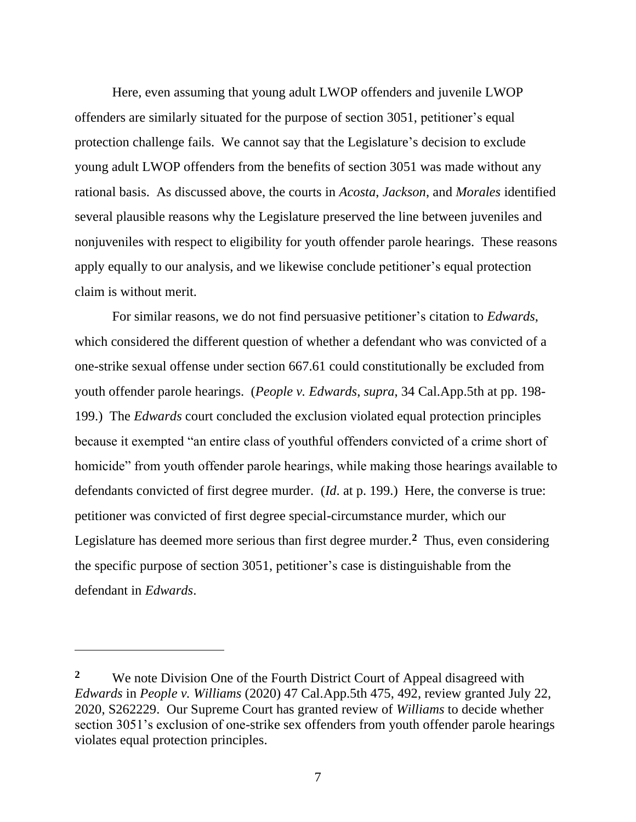Here, even assuming that young adult LWOP offenders and juvenile LWOP offenders are similarly situated for the purpose of section 3051, petitioner's equal protection challenge fails. We cannot say that the Legislature's decision to exclude young adult LWOP offenders from the benefits of section 3051 was made without any rational basis. As discussed above, the courts in *Acosta*, *Jackson*, and *Morales* identified several plausible reasons why the Legislature preserved the line between juveniles and nonjuveniles with respect to eligibility for youth offender parole hearings. These reasons apply equally to our analysis, and we likewise conclude petitioner's equal protection claim is without merit.

For similar reasons, we do not find persuasive petitioner's citation to *Edwards*, which considered the different question of whether a defendant who was convicted of a one-strike sexual offense under section 667.61 could constitutionally be excluded from youth offender parole hearings. (*People v. Edwards*, *supra*, 34 Cal.App.5th at pp. 198- 199.) The *Edwards* court concluded the exclusion violated equal protection principles because it exempted "an entire class of youthful offenders convicted of a crime short of homicide" from youth offender parole hearings, while making those hearings available to defendants convicted of first degree murder. (*Id*. at p. 199.) Here, the converse is true: petitioner was convicted of first degree special-circumstance murder, which our Legislature has deemed more serious than first degree murder.**<sup>2</sup>** Thus, even considering the specific purpose of section 3051, petitioner's case is distinguishable from the defendant in *Edwards*.

<sup>&</sup>lt;sup>2</sup> We note Division One of the Fourth District Court of Appeal disagreed with *Edwards* in *People v. Williams* (2020) 47 Cal.App.5th 475, 492, review granted July 22, 2020, S262229. Our Supreme Court has granted review of *Williams* to decide whether section 3051's exclusion of one-strike sex offenders from youth offender parole hearings violates equal protection principles.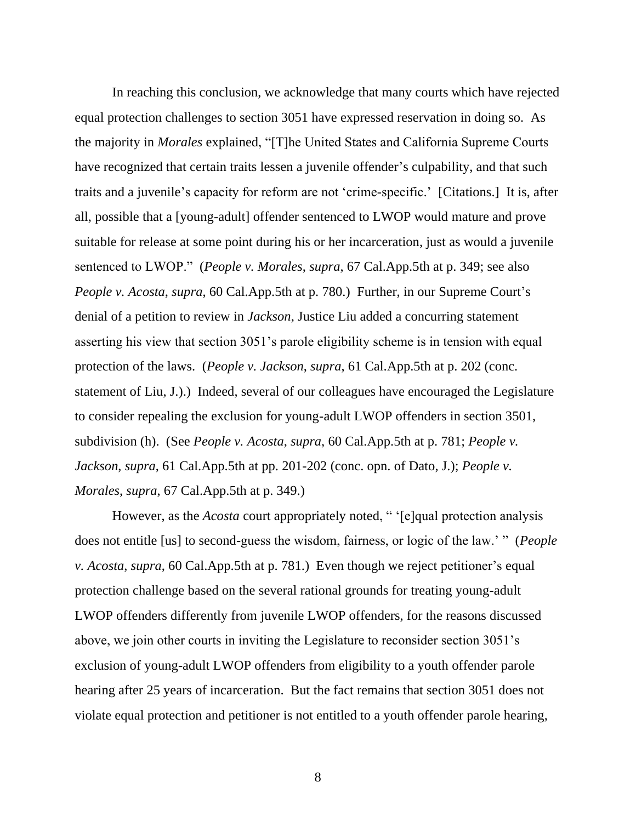In reaching this conclusion, we acknowledge that many courts which have rejected equal protection challenges to section 3051 have expressed reservation in doing so. As the majority in *Morales* explained, "[T]he United States and California Supreme Courts have recognized that certain traits lessen a juvenile offender's culpability, and that such traits and a juvenile's capacity for reform are not 'crime-specific.' [Citations.] It is, after all, possible that a [young-adult] offender sentenced to LWOP would mature and prove suitable for release at some point during his or her incarceration, just as would a juvenile sentenced to LWOP." (*People v. Morales*, *supra*, 67 Cal.App.5th at p. 349; see also *People v. Acosta*, *supra*, 60 Cal.App.5th at p. 780.) Further, in our Supreme Court's denial of a petition to review in *Jackson*, Justice Liu added a concurring statement asserting his view that section 3051's parole eligibility scheme is in tension with equal protection of the laws. (*People v. Jackson*, *supra*, 61 Cal.App.5th at p. 202 (conc. statement of Liu, J.).) Indeed, several of our colleagues have encouraged the Legislature to consider repealing the exclusion for young-adult LWOP offenders in section 3501, subdivision (h). (See *People v. Acosta*, *supra*, 60 Cal.App.5th at p. 781; *People v. Jackson*, *supra*, 61 Cal.App.5th at pp. 201-202 (conc. opn. of Dato, J.); *People v. Morales*, *supra*, 67 Cal.App.5th at p. 349.)

However, as the *Acosta* court appropriately noted, " '[e]qual protection analysis does not entitle [us] to second-guess the wisdom, fairness, or logic of the law.' " (*People v. Acosta*, *supra*, 60 Cal.App.5th at p. 781.) Even though we reject petitioner's equal protection challenge based on the several rational grounds for treating young-adult LWOP offenders differently from juvenile LWOP offenders, for the reasons discussed above, we join other courts in inviting the Legislature to reconsider section 3051's exclusion of young-adult LWOP offenders from eligibility to a youth offender parole hearing after 25 years of incarceration. But the fact remains that section 3051 does not violate equal protection and petitioner is not entitled to a youth offender parole hearing,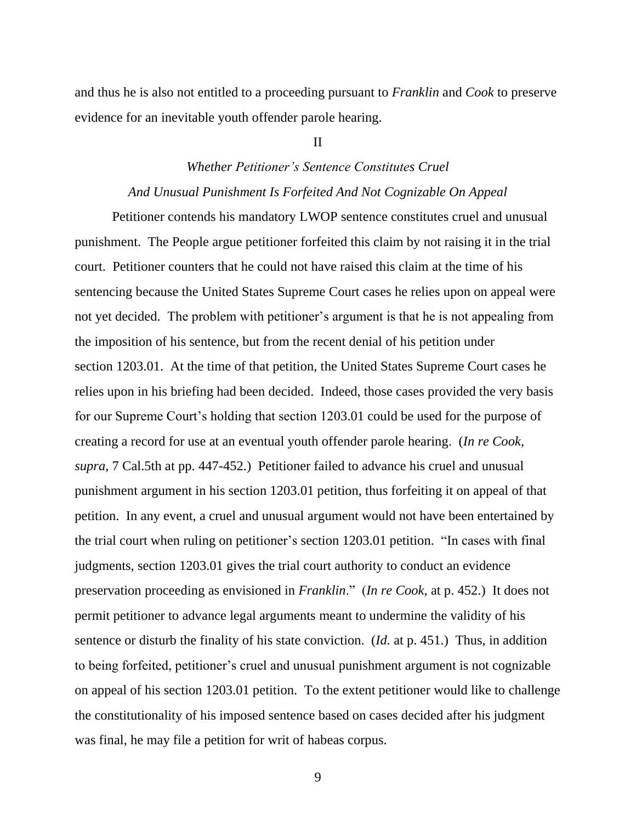and thus he is also not entitled to a proceeding pursuant to *Franklin* and *Cook* to preserve evidence for an inevitable youth offender parole hearing.

#### II

## *Whether Petitioner's Sentence Constitutes Cruel And Unusual Punishment Is Forfeited And Not Cognizable On Appeal*

Petitioner contends his mandatory LWOP sentence constitutes cruel and unusual punishment. The People argue petitioner forfeited this claim by not raising it in the trial court. Petitioner counters that he could not have raised this claim at the time of his sentencing because the United States Supreme Court cases he relies upon on appeal were not yet decided. The problem with petitioner's argument is that he is not appealing from the imposition of his sentence, but from the recent denial of his petition under section 1203.01. At the time of that petition, the United States Supreme Court cases he relies upon in his briefing had been decided. Indeed, those cases provided the very basis for our Supreme Court's holding that section 1203.01 could be used for the purpose of creating a record for use at an eventual youth offender parole hearing. (*In re Cook*, *supra*, 7 Cal.5th at pp. 447-452.) Petitioner failed to advance his cruel and unusual punishment argument in his section 1203.01 petition, thus forfeiting it on appeal of that petition. In any event, a cruel and unusual argument would not have been entertained by the trial court when ruling on petitioner's section 1203.01 petition. "In cases with final judgments, section 1203.01 gives the trial court authority to conduct an evidence preservation proceeding as envisioned in *Franklin*." (*In re Cook*, at p. 452.) It does not permit petitioner to advance legal arguments meant to undermine the validity of his sentence or disturb the finality of his state conviction. (*Id.* at p. 451.) Thus, in addition to being forfeited, petitioner's cruel and unusual punishment argument is not cognizable on appeal of his section 1203.01 petition. To the extent petitioner would like to challenge the constitutionality of his imposed sentence based on cases decided after his judgment was final, he may file a petition for writ of habeas corpus.